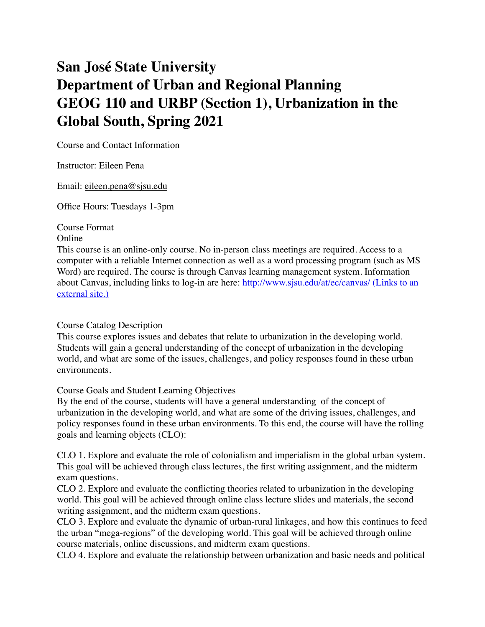# **San José State University Department of Urban and Regional Planning GEOG 110 and URBP (Section 1), Urbanization in the Global South, Spring 2021**

Course and Contact Information

Instructor: Eileen Pena

Email: [eileen.pena@sjsu.edu](mailto:eileen.pena@sjsu.edu)

Office Hours: Tuesdays 1-3pm

Course Format

Online

This course is an online-only course. No in-person class meetings are required. Access to a computer with a reliable Internet connection as well as a word processing program (such as MS Word) are required. The course is through Canvas learning management system. Information about Canvas, including links to log-in are here:<http://www.sjsu.edu/at/ec/canvas/> (Links to an [external site.\)](http://www.sjsu.edu/at/ec/canvas/)

# Course Catalog Description

This course explores issues and debates that relate to urbanization in the developing world. Students will gain a general understanding of the concept of urbanization in the developing world, and what are some of the issues, challenges, and policy responses found in these urban environments.

Course Goals and Student Learning Objectives

By the end of the course, students will have a general understanding of the concept of urbanization in the developing world, and what are some of the driving issues, challenges, and policy responses found in these urban environments. To this end, the course will have the rolling goals and learning objects (CLO):

CLO 1. Explore and evaluate the role of colonialism and imperialism in the global urban system. This goal will be achieved through class lectures, the first writing assignment, and the midterm exam questions.

CLO 2. Explore and evaluate the conflicting theories related to urbanization in the developing world. This goal will be achieved through online class lecture slides and materials, the second writing assignment, and the midterm exam questions.

CLO 3. Explore and evaluate the dynamic of urban-rural linkages, and how this continues to feed the urban "mega-regions" of the developing world. This goal will be achieved through online course materials, online discussions, and midterm exam questions.

CLO 4. Explore and evaluate the relationship between urbanization and basic needs and political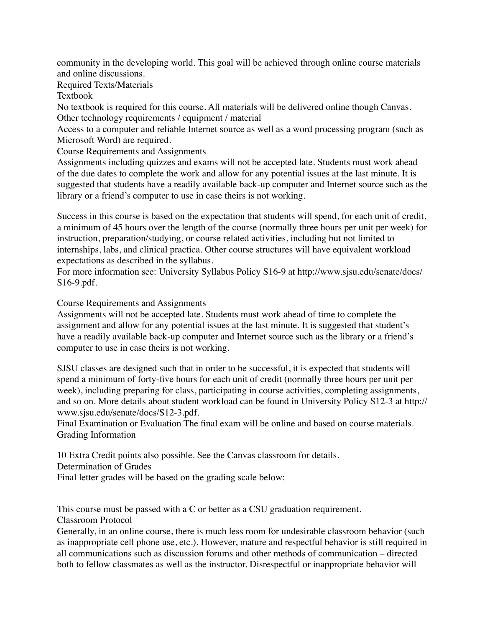community in the developing world. This goal will be achieved through online course materials and online discussions.

Required Texts/Materials

Textbook

No textbook is required for this course. All materials will be delivered online though Canvas. Other technology requirements / equipment / material

Access to a computer and reliable Internet source as well as a word processing program (such as Microsoft Word) are required.

Course Requirements and Assignments

Assignments including quizzes and exams will not be accepted late. Students must work ahead of the due dates to complete the work and allow for any potential issues at the last minute. It is suggested that students have a readily available back-up computer and Internet source such as the library or a friend's computer to use in case theirs is not working.

Success in this course is based on the expectation that students will spend, for each unit of credit, a minimum of 45 hours over the length of the course (normally three hours per unit per week) for instruction, preparation/studying, or course related activities, including but not limited to internships, labs, and clinical practica. Other course structures will have equivalent workload expectations as described in the syllabus.

For more information see: University Syllabus Policy S16-9 at http://www.sjsu.edu/senate/docs/ S16-9.pdf.

Course Requirements and Assignments

Assignments will not be accepted late. Students must work ahead of time to complete the assignment and allow for any potential issues at the last minute. It is suggested that student's have a readily available back-up computer and Internet source such as the library or a friend's computer to use in case theirs is not working.

SJSU classes are designed such that in order to be successful, it is expected that students will spend a minimum of forty-five hours for each unit of credit (normally three hours per unit per week), including preparing for class, participating in course activities, completing assignments, and so on. More details about student workload can be found in University Policy S12-3 at http:// www.sjsu.edu/senate/docs/S12-3.pdf.

Final Examination or Evaluation The final exam will be online and based on course materials. Grading Information

10 Extra Credit points also possible. See the Canvas classroom for details.

Determination of Grades

Final letter grades will be based on the grading scale below:

This course must be passed with a C or better as a CSU graduation requirement. Classroom Protocol

Generally, in an online course, there is much less room for undesirable classroom behavior (such as inappropriate cell phone use, etc.). However, mature and respectful behavior is still required in all communications such as discussion forums and other methods of communication – directed both to fellow classmates as well as the instructor. Disrespectful or inappropriate behavior will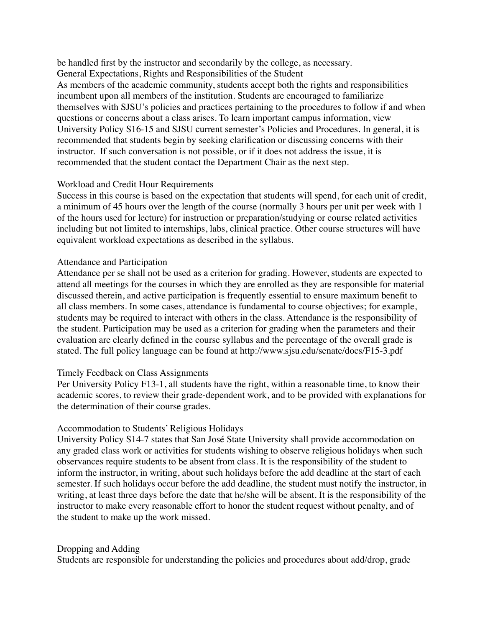be handled first by the instructor and secondarily by the college, as necessary. General Expectations, Rights and Responsibilities of the Student

As members of the academic community, students accept both the rights and responsibilities incumbent upon all members of the institution. Students are encouraged to familiarize themselves with SJSU's policies and practices pertaining to the procedures to follow if and when questions or concerns about a class arises. To learn important campus information, view University Policy S16-15 and SJSU current semester's Policies and Procedures. In general, it is recommended that students begin by seeking clarification or discussing concerns with their instructor. If such conversation is not possible, or if it does not address the issue, it is recommended that the student contact the Department Chair as the next step.

#### Workload and Credit Hour Requirements

Success in this course is based on the expectation that students will spend, for each unit of credit, a minimum of 45 hours over the length of the course (normally 3 hours per unit per week with 1 of the hours used for lecture) for instruction or preparation/studying or course related activities including but not limited to internships, labs, clinical practice. Other course structures will have equivalent workload expectations as described in the syllabus.

#### Attendance and Participation

Attendance per se shall not be used as a criterion for grading. However, students are expected to attend all meetings for the courses in which they are enrolled as they are responsible for material discussed therein, and active participation is frequently essential to ensure maximum benefit to all class members. In some cases, attendance is fundamental to course objectives; for example, students may be required to interact with others in the class. Attendance is the responsibility of the student. Participation may be used as a criterion for grading when the parameters and their evaluation are clearly defined in the course syllabus and the percentage of the overall grade is stated. The full policy language can be found at http://www.sjsu.edu/senate/docs/F15-3.pdf

# Timely Feedback on Class Assignments

Per University Policy F13-1, all students have the right, within a reasonable time, to know their academic scores, to review their grade-dependent work, and to be provided with explanations for the determination of their course grades.

# Accommodation to Students' Religious Holidays

University Policy S14-7 states that San José State University shall provide accommodation on any graded class work or activities for students wishing to observe religious holidays when such observances require students to be absent from class. It is the responsibility of the student to inform the instructor, in writing, about such holidays before the add deadline at the start of each semester. If such holidays occur before the add deadline, the student must notify the instructor, in writing, at least three days before the date that he/she will be absent. It is the responsibility of the instructor to make every reasonable effort to honor the student request without penalty, and of the student to make up the work missed.

#### Dropping and Adding

Students are responsible for understanding the policies and procedures about add/drop, grade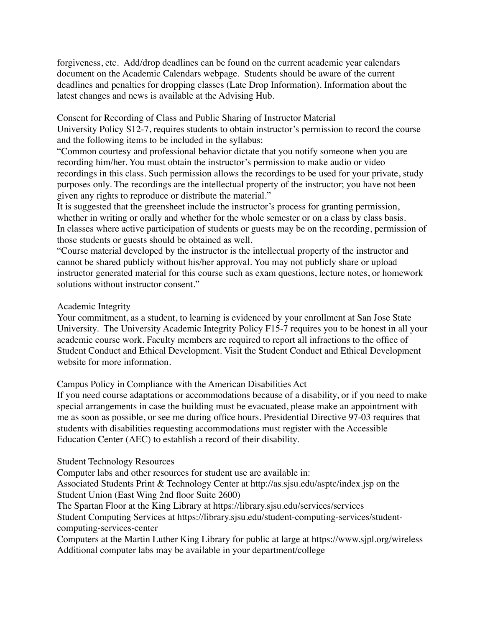forgiveness, etc. Add/drop deadlines can be found on the current academic year calendars document on the Academic Calendars webpage. Students should be aware of the current deadlines and penalties for dropping classes (Late Drop Information). Information about the latest changes and news is available at the Advising Hub.

Consent for Recording of Class and Public Sharing of Instructor Material University Policy S12-7, requires students to obtain instructor's permission to record the course and the following items to be included in the syllabus:

"Common courtesy and professional behavior dictate that you notify someone when you are recording him/her. You must obtain the instructor's permission to make audio or video recordings in this class. Such permission allows the recordings to be used for your private, study purposes only. The recordings are the intellectual property of the instructor; you have not been given any rights to reproduce or distribute the material."

It is suggested that the greensheet include the instructor's process for granting permission, whether in writing or orally and whether for the whole semester or on a class by class basis. In classes where active participation of students or guests may be on the recording, permission of those students or guests should be obtained as well.

"Course material developed by the instructor is the intellectual property of the instructor and cannot be shared publicly without his/her approval. You may not publicly share or upload instructor generated material for this course such as exam questions, lecture notes, or homework solutions without instructor consent."

#### Academic Integrity

Your commitment, as a student, to learning is evidenced by your enrollment at San Jose State University. The University Academic Integrity Policy F15-7 requires you to be honest in all your academic course work. Faculty members are required to report all infractions to the office of Student Conduct and Ethical Development. Visit the Student Conduct and Ethical Development website for more information.

Campus Policy in Compliance with the American Disabilities Act

If you need course adaptations or accommodations because of a disability, or if you need to make special arrangements in case the building must be evacuated, please make an appointment with me as soon as possible, or see me during office hours. Presidential Directive 97-03 requires that students with disabilities requesting accommodations must register with the Accessible Education Center (AEC) to establish a record of their disability.

Student Technology Resources

Computer labs and other resources for student use are available in:

Associated Students Print & Technology Center at http://as.sjsu.edu/asptc/index.jsp on the Student Union (East Wing 2nd floor Suite 2600)

The Spartan Floor at the King Library at https://library.sjsu.edu/services/services

Student Computing Services at https://library.sjsu.edu/student-computing-services/studentcomputing-services-center

Computers at the Martin Luther King Library for public at large at https://www.sjpl.org/wireless Additional computer labs may be available in your department/college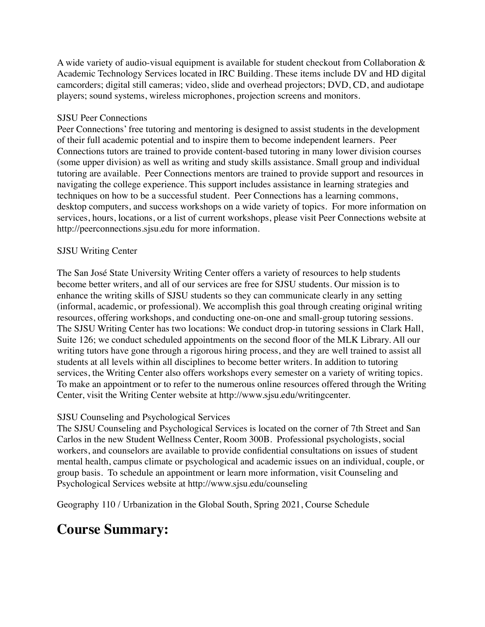A wide variety of audio-visual equipment is available for student checkout from Collaboration  $\&$ Academic Technology Services located in IRC Building. These items include DV and HD digital camcorders; digital still cameras; video, slide and overhead projectors; DVD, CD, and audiotape players; sound systems, wireless microphones, projection screens and monitors.

### SJSU Peer Connections

Peer Connections' free tutoring and mentoring is designed to assist students in the development of their full academic potential and to inspire them to become independent learners. Peer Connections tutors are trained to provide content-based tutoring in many lower division courses (some upper division) as well as writing and study skills assistance. Small group and individual tutoring are available. Peer Connections mentors are trained to provide support and resources in navigating the college experience. This support includes assistance in learning strategies and techniques on how to be a successful student. Peer Connections has a learning commons, desktop computers, and success workshops on a wide variety of topics. For more information on services, hours, locations, or a list of current workshops, please visit Peer Connections website at http://peerconnections.sjsu.edu for more information.

#### SJSU Writing Center

The San José State University Writing Center offers a variety of resources to help students become better writers, and all of our services are free for SJSU students. Our mission is to enhance the writing skills of SJSU students so they can communicate clearly in any setting (informal, academic, or professional). We accomplish this goal through creating original writing resources, offering workshops, and conducting one-on-one and small-group tutoring sessions. The SJSU Writing Center has two locations: We conduct drop-in tutoring sessions in Clark Hall, Suite 126; we conduct scheduled appointments on the second floor of the MLK Library. All our writing tutors have gone through a rigorous hiring process, and they are well trained to assist all students at all levels within all disciplines to become better writers. In addition to tutoring services, the Writing Center also offers workshops every semester on a variety of writing topics. To make an appointment or to refer to the numerous online resources offered through the Writing Center, visit the Writing Center website at http://www.sjsu.edu/writingcenter.

# SJSU Counseling and Psychological Services

The SJSU Counseling and Psychological Services is located on the corner of 7th Street and San Carlos in the new Student Wellness Center, Room 300B. Professional psychologists, social workers, and counselors are available to provide confidential consultations on issues of student mental health, campus climate or psychological and academic issues on an individual, couple, or group basis. To schedule an appointment or learn more information, visit Counseling and Psychological Services website at http://www.sjsu.edu/counseling

Geography 110 / Urbanization in the Global South, Spring 2021, Course Schedule

# **Course Summary:**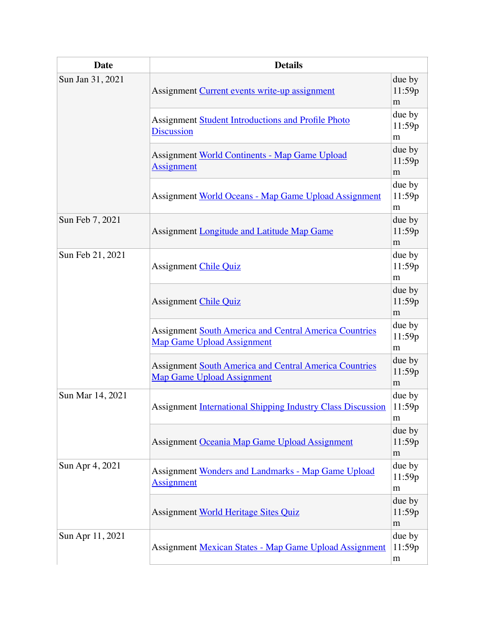| <b>Date</b>      | <b>Details</b>                                                                                     |                       |  |  |  |  |
|------------------|----------------------------------------------------------------------------------------------------|-----------------------|--|--|--|--|
| Sun Jan 31, 2021 | Assignment Current events write-up assignment                                                      |                       |  |  |  |  |
|                  | <b>Assignment Student Introductions and Profile Photo</b><br><b>Discussion</b>                     |                       |  |  |  |  |
|                  | <b>Assignment World Continents - Map Game Upload</b><br><b>Assignment</b>                          | due by<br>11:59p<br>m |  |  |  |  |
|                  | Assignment World Oceans - Map Game Upload Assignment                                               | due by<br>11:59p<br>m |  |  |  |  |
| Sun Feb 7, 2021  | Assignment <b>Longitude and Latitude Map Game</b>                                                  | due by<br>11:59p<br>m |  |  |  |  |
| Sun Feb 21, 2021 | <b>Assignment Chile Quiz</b>                                                                       | due by<br>11:59p<br>m |  |  |  |  |
|                  | <b>Assignment Chile Quiz</b>                                                                       | due by<br>11:59p<br>m |  |  |  |  |
|                  | <b>Assignment South America and Central America Countries</b><br><b>Map Game Upload Assignment</b> | due by<br>11:59p<br>m |  |  |  |  |
|                  | <b>Assignment South America and Central America Countries</b><br><b>Map Game Upload Assignment</b> | due by<br>11:59p<br>m |  |  |  |  |
| Sun Mar 14, 2021 | <b>Assignment International Shipping Industry Class Discussion</b>                                 | due by<br>11:59p<br>m |  |  |  |  |
|                  | Assignment Oceania Map Game Upload Assignment                                                      | due by<br>11:59p<br>m |  |  |  |  |
| Sun Apr 4, 2021  | <b>Assignment Wonders and Landmarks - Map Game Upload</b><br><b>Assignment</b>                     | due by<br>11:59p<br>m |  |  |  |  |
|                  | Assignment World Heritage Sites Quiz                                                               | due by<br>11:59p<br>m |  |  |  |  |
| Sun Apr 11, 2021 | Assignment Mexican States - Map Game Upload Assignment                                             | due by<br>11:59p<br>m |  |  |  |  |